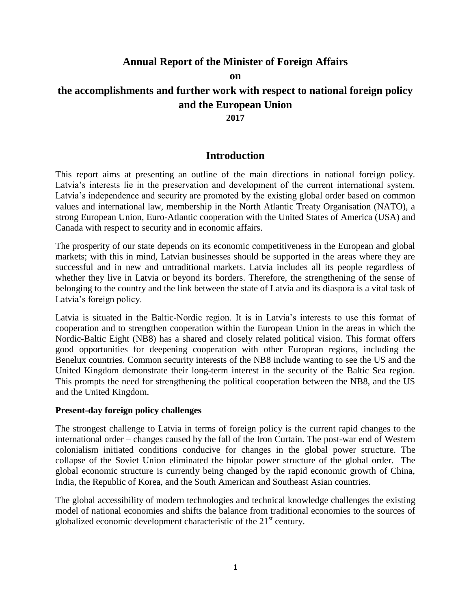# **Annual Report of the Minister of Foreign Affairs**

**on**

# **the accomplishments and further work with respect to national foreign policy and the European Union**

### **2017**

# **Introduction**

This report aims at presenting an outline of the main directions in national foreign policy. Latvia's interests lie in the preservation and development of the current international system. Latvia's independence and security are promoted by the existing global order based on common values and international law, membership in the North Atlantic Treaty Organisation (NATO), a strong European Union, Euro-Atlantic cooperation with the United States of America (USA) and Canada with respect to security and in economic affairs.

The prosperity of our state depends on its economic competitiveness in the European and global markets; with this in mind, Latvian businesses should be supported in the areas where they are successful and in new and untraditional markets. Latvia includes all its people regardless of whether they live in Latvia or beyond its borders. Therefore, the strengthening of the sense of belonging to the country and the link between the state of Latvia and its diaspora is a vital task of Latvia's foreign policy.

Latvia is situated in the Baltic-Nordic region. It is in Latvia's interests to use this format of cooperation and to strengthen cooperation within the European Union in the areas in which the Nordic-Baltic Eight (NB8) has a shared and closely related political vision. This format offers good opportunities for deepening cooperation with other European regions, including the Benelux countries. Common security interests of the NB8 include wanting to see the US and the United Kingdom demonstrate their long-term interest in the security of the Baltic Sea region. This prompts the need for strengthening the political cooperation between the NB8, and the US and the United Kingdom.

#### **Present-day foreign policy challenges**

The strongest challenge to Latvia in terms of foreign policy is the current rapid changes to the international order – changes caused by the fall of the Iron Curtain. The post-war end of Western colonialism initiated conditions conducive for changes in the global power structure. The collapse of the Soviet Union eliminated the bipolar power structure of the global order. The global economic structure is currently being changed by the rapid economic growth of China, India, the Republic of Korea, and the South American and Southeast Asian countries.

The global accessibility of modern technologies and technical knowledge challenges the existing model of national economies and shifts the balance from traditional economies to the sources of globalized economic development characteristic of the  $21<sup>st</sup>$  century.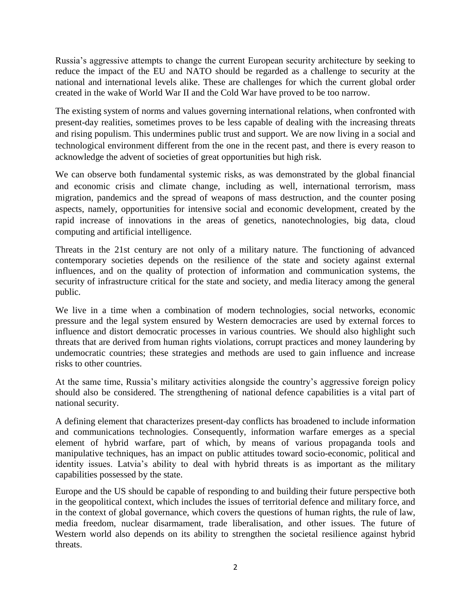Russia's aggressive attempts to change the current European security architecture by seeking to reduce the impact of the EU and NATO should be regarded as a challenge to security at the national and international levels alike. These are challenges for which the current global order created in the wake of World War II and the Cold War have proved to be too narrow.

The existing system of norms and values governing international relations, when confronted with present-day realities, sometimes proves to be less capable of dealing with the increasing threats and rising populism. This undermines public trust and support. We are now living in a social and technological environment different from the one in the recent past, and there is every reason to acknowledge the advent of societies of great opportunities but high risk.

We can observe both fundamental systemic risks, as was demonstrated by the global financial and economic crisis and climate change, including as well, international terrorism, mass migration, pandemics and the spread of weapons of mass destruction, and the counter posing aspects, namely, opportunities for intensive social and economic development, created by the rapid increase of innovations in the areas of genetics, nanotechnologies, big data, cloud computing and artificial intelligence.

Threats in the 21st century are not only of a military nature. The functioning of advanced contemporary societies depends on the resilience of the state and society against external influences, and on the quality of protection of information and communication systems, the security of infrastructure critical for the state and society, and media literacy among the general public.

We live in a time when a combination of modern technologies, social networks, economic pressure and the legal system ensured by Western democracies are used by external forces to influence and distort democratic processes in various countries. We should also highlight such threats that are derived from human rights violations, corrupt practices and money laundering by undemocratic countries; these strategies and methods are used to gain influence and increase risks to other countries.

At the same time, Russia's military activities alongside the country's aggressive foreign policy should also be considered. The strengthening of national defence capabilities is a vital part of national security.

A defining element that characterizes present-day conflicts has broadened to include information and communications technologies. Consequently, information warfare emerges as a special element of hybrid warfare, part of which, by means of various propaganda tools and manipulative techniques, has an impact on public attitudes toward socio-economic, political and identity issues. Latvia's ability to deal with hybrid threats is as important as the military capabilities possessed by the state.

Europe and the US should be capable of responding to and building their future perspective both in the geopolitical context, which includes the issues of territorial defence and military force, and in the context of global governance, which covers the questions of human rights, the rule of law, media freedom, nuclear disarmament, trade liberalisation, and other issues. The future of Western world also depends on its ability to strengthen the societal resilience against hybrid threats.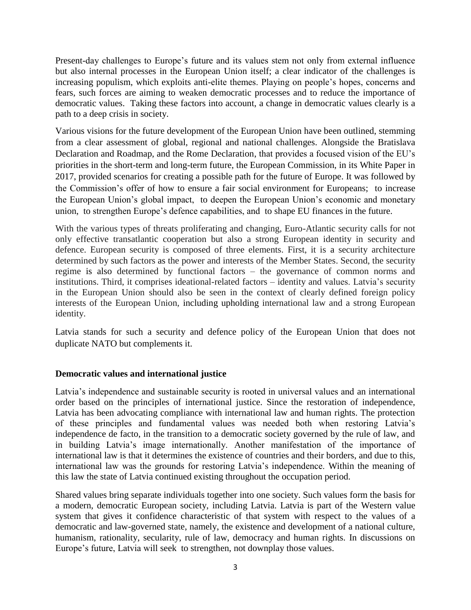Present-day challenges to Europe's future and its values stem not only from external influence but also internal processes in the European Union itself; a clear indicator of the challenges is increasing populism, which exploits anti-elite themes. Playing on people's hopes, concerns and fears, such forces are aiming to weaken democratic processes and to reduce the importance of democratic values. Taking these factors into account, a change in democratic values clearly is a path to a deep crisis in society.

Various visions for the future development of the European Union have been outlined, stemming from a clear assessment of global, regional and national challenges. Alongside the Bratislava Declaration and Roadmap, and the Rome Declaration, that provides a focused vision of the EU's priorities in the short-term and long-term future, the European Commission, in its White Paper in 2017, provided scenarios for creating a possible path for the future of Europe. It was followed by the Commission's offer of how to ensure a fair social environment for Europeans; to increase the European Union's global impact, to deepen the European Union's economic and monetary union, to strengthen Europe's defence capabilities, and to shape EU finances in the future.

With the various types of threats proliferating and changing, Euro-Atlantic security calls for not only effective transatlantic cooperation but also a strong European identity in security and defence. European security is composed of three elements. First, it is a security architecture determined by such factors as the power and interests of the Member States. Second, the security regime is also determined by functional factors – the governance of common norms and institutions. Third, it comprises ideational-related factors – identity and values. Latvia's security in the European Union should also be seen in the context of clearly defined foreign policy interests of the European Union, including upholding international law and a strong European identity.

Latvia stands for such a security and defence policy of the European Union that does not duplicate NATO but complements it.

#### **Democratic values and international justice**

Latvia's independence and sustainable security is rooted in universal values and an international order based on the principles of international justice. Since the restoration of independence, Latvia has been advocating compliance with international law and human rights. The protection of these principles and fundamental values was needed both when restoring Latvia's independence de facto, in the transition to a democratic society governed by the rule of law, and in building Latvia's image internationally. Another manifestation of the importance of international law is that it determines the existence of countries and their borders, and due to this, international law was the grounds for restoring Latvia's independence. Within the meaning of this law the state of Latvia continued existing throughout the occupation period.

Shared values bring separate individuals together into one society. Such values form the basis for a modern, democratic European society, including Latvia. Latvia is part of the Western value system that gives it confidence characteristic of that system with respect to the values of a democratic and law-governed state, namely, the existence and development of a national culture, humanism, rationality, secularity, rule of law, democracy and human rights. In discussions on Europe's future, Latvia will seek to strengthen, not downplay those values.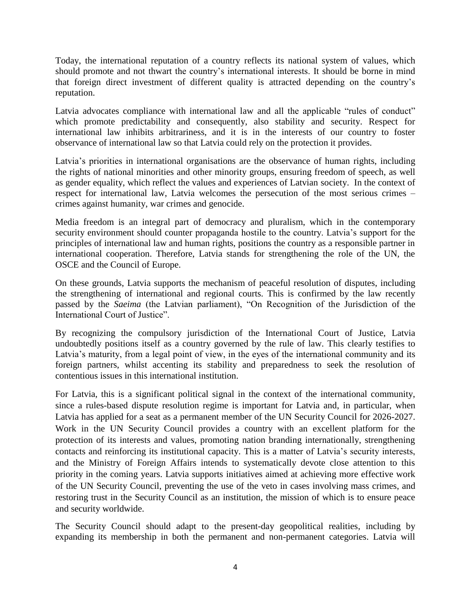Today, the international reputation of a country reflects its national system of values, which should promote and not thwart the country's international interests. It should be borne in mind that foreign direct investment of different quality is attracted depending on the country's reputation.

Latvia advocates compliance with international law and all the applicable "rules of conduct" which promote predictability and consequently, also stability and security. Respect for international law inhibits arbitrariness, and it is in the interests of our country to foster observance of international law so that Latvia could rely on the protection it provides.

Latvia's priorities in international organisations are the observance of human rights, including the rights of national minorities and other minority groups, ensuring freedom of speech, as well as gender equality, which reflect the values and experiences of Latvian society. In the context of respect for international law, Latvia welcomes the persecution of the most serious crimes – crimes against humanity, war crimes and genocide.

Media freedom is an integral part of democracy and pluralism, which in the contemporary security environment should counter propaganda hostile to the country. Latvia's support for the principles of international law and human rights, positions the country as a responsible partner in international cooperation. Therefore, Latvia stands for strengthening the role of the UN, the OSCE and the Council of Europe.

On these grounds, Latvia supports the mechanism of peaceful resolution of disputes, including the strengthening of international and regional courts. This is confirmed by the law recently passed by the *Saeima* (the Latvian parliament), "On Recognition of the Jurisdiction of the International Court of Justice".

By recognizing the compulsory jurisdiction of the International Court of Justice, Latvia undoubtedly positions itself as a country governed by the rule of law. This clearly testifies to Latvia's maturity, from a legal point of view, in the eyes of the international community and its foreign partners, whilst accenting its stability and preparedness to seek the resolution of contentious issues in this international institution.

For Latvia, this is a significant political signal in the context of the international community, since a rules-based dispute resolution regime is important for Latvia and, in particular, when Latvia has applied for a seat as a permanent member of the UN Security Council for 2026-2027. Work in the UN Security Council provides a country with an excellent platform for the protection of its interests and values, promoting nation branding internationally, strengthening contacts and reinforcing its institutional capacity. This is a matter of Latvia's security interests, and the Ministry of Foreign Affairs intends to systematically devote close attention to this priority in the coming years. Latvia supports initiatives aimed at achieving more effective work of the UN Security Council, preventing the use of the veto in cases involving mass crimes, and restoring trust in the Security Council as an institution, the mission of which is to ensure peace and security worldwide.

The Security Council should adapt to the present-day geopolitical realities, including by expanding its membership in both the permanent and non-permanent categories. Latvia will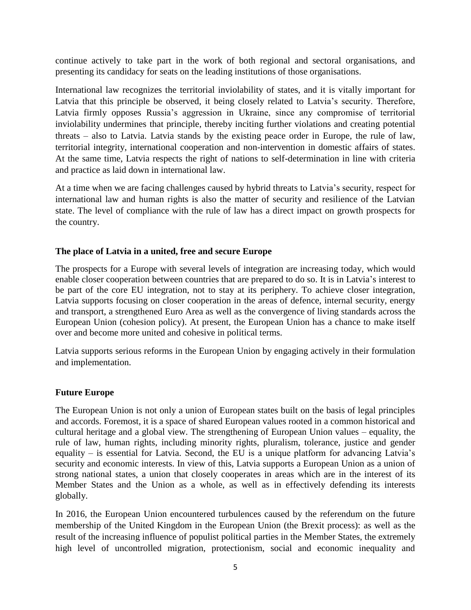continue actively to take part in the work of both regional and sectoral organisations, and presenting its candidacy for seats on the leading institutions of those organisations.

International law recognizes the territorial inviolability of states, and it is vitally important for Latvia that this principle be observed, it being closely related to Latvia's security. Therefore, Latvia firmly opposes Russia's aggression in Ukraine, since any compromise of territorial inviolability undermines that principle, thereby inciting further violations and creating potential threats – also to Latvia. Latvia stands by the existing peace order in Europe, the rule of law, territorial integrity, international cooperation and non-intervention in domestic affairs of states. At the same time, Latvia respects the right of nations to self-determination in line with criteria and practice as laid down in international law.

At a time when we are facing challenges caused by hybrid threats to Latvia's security, respect for international law and human rights is also the matter of security and resilience of the Latvian state. The level of compliance with the rule of law has a direct impact on growth prospects for the country.

### **The place of Latvia in a united, free and secure Europe**

The prospects for a Europe with several levels of integration are increasing today, which would enable closer cooperation between countries that are prepared to do so. It is in Latvia's interest to be part of the core EU integration, not to stay at its periphery. To achieve closer integration, Latvia supports focusing on closer cooperation in the areas of defence, internal security, energy and transport, a strengthened Euro Area as well as the convergence of living standards across the European Union (cohesion policy). At present, the European Union has a chance to make itself over and become more united and cohesive in political terms.

Latvia supports serious reforms in the European Union by engaging actively in their formulation and implementation.

# **Future Europe**

The European Union is not only a union of European states built on the basis of legal principles and accords. Foremost, it is a space of shared European values rooted in a common historical and cultural heritage and a global view. The strengthening of European Union values – equality, the rule of law, human rights, including minority rights, pluralism, tolerance, justice and gender equality – is essential for Latvia. Second, the EU is a unique platform for advancing Latvia's security and economic interests. In view of this, Latvia supports a European Union as a union of strong national states, a union that closely cooperates in areas which are in the interest of its Member States and the Union as a whole, as well as in effectively defending its interests globally.

In 2016, the European Union encountered turbulences caused by the referendum on the future membership of the United Kingdom in the European Union (the Brexit process): as well as the result of the increasing influence of populist political parties in the Member States, the extremely high level of uncontrolled migration, protectionism, social and economic inequality and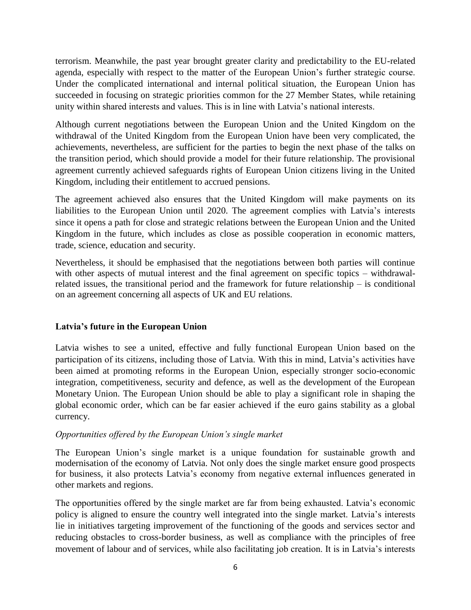terrorism. Meanwhile, the past year brought greater clarity and predictability to the EU-related agenda, especially with respect to the matter of the European Union's further strategic course. Under the complicated international and internal political situation, the European Union has succeeded in focusing on strategic priorities common for the 27 Member States, while retaining unity within shared interests and values. This is in line with Latvia's national interests.

Although current negotiations between the European Union and the United Kingdom on the withdrawal of the United Kingdom from the European Union have been very complicated, the achievements, nevertheless, are sufficient for the parties to begin the next phase of the talks on the transition period, which should provide a model for their future relationship. The provisional agreement currently achieved safeguards rights of European Union citizens living in the United Kingdom, including their entitlement to accrued pensions.

The agreement achieved also ensures that the United Kingdom will make payments on its liabilities to the European Union until 2020. The agreement complies with Latvia's interests since it opens a path for close and strategic relations between the European Union and the United Kingdom in the future, which includes as close as possible cooperation in economic matters, trade, science, education and security.

Nevertheless, it should be emphasised that the negotiations between both parties will continue with other aspects of mutual interest and the final agreement on specific topics – withdrawalrelated issues, the transitional period and the framework for future relationship – is conditional on an agreement concerning all aspects of UK and EU relations.

### **Latvia's future in the European Union**

Latvia wishes to see a united, effective and fully functional European Union based on the participation of its citizens, including those of Latvia. With this in mind, Latvia's activities have been aimed at promoting reforms in the European Union, especially stronger socio-economic integration, competitiveness, security and defence, as well as the development of the European Monetary Union. The European Union should be able to play a significant role in shaping the global economic order, which can be far easier achieved if the euro gains stability as a global currency.

#### *Opportunities offered by the European Union's single market*

The European Union's single market is a unique foundation for sustainable growth and modernisation of the economy of Latvia. Not only does the single market ensure good prospects for business, it also protects Latvia's economy from negative external influences generated in other markets and regions.

The opportunities offered by the single market are far from being exhausted. Latvia's economic policy is aligned to ensure the country well integrated into the single market. Latvia's interests lie in initiatives targeting improvement of the functioning of the goods and services sector and reducing obstacles to cross-border business, as well as compliance with the principles of free movement of labour and of services, while also facilitating job creation. It is in Latvia's interests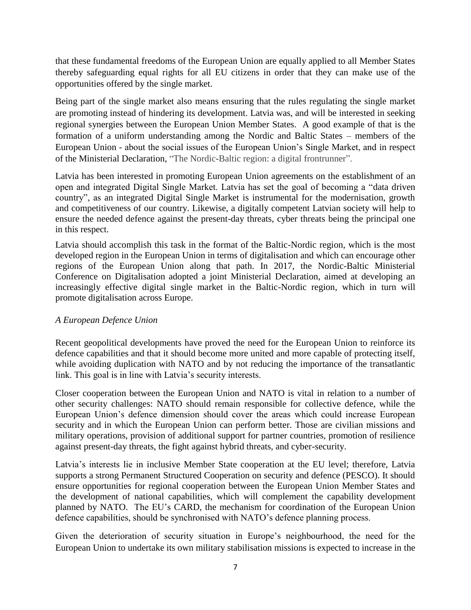that these fundamental freedoms of the European Union are equally applied to all Member States thereby safeguarding equal rights for all EU citizens in order that they can make use of the opportunities offered by the single market.

Being part of the single market also means ensuring that the rules regulating the single market are promoting instead of hindering its development. Latvia was, and will be interested in seeking regional synergies between the European Union Member States. A good example of that is the formation of a uniform understanding among the Nordic and Baltic States – members of the European Union - about the social issues of the European Union's Single Market, and in respect of the Ministerial Declaration, "The Nordic**-**Baltic region: a digital frontrunner".

Latvia has been interested in promoting European Union agreements on the establishment of an open and integrated Digital Single Market. Latvia has set the goal of becoming a "data driven country", as an integrated Digital Single Market is instrumental for the modernisation, growth and competitiveness of our country. Likewise, a digitally competent Latvian society will help to ensure the needed defence against the present-day threats, cyber threats being the principal one in this respect.

Latvia should accomplish this task in the format of the Baltic-Nordic region, which is the most developed region in the European Union in terms of digitalisation and which can encourage other regions of the European Union along that path. In 2017, the Nordic-Baltic Ministerial Conference on Digitalisation adopted a joint Ministerial Declaration, aimed at developing an increasingly effective digital single market in the Baltic-Nordic region, which in turn will promote digitalisation across Europe.

### *A European Defence Union*

Recent geopolitical developments have proved the need for the European Union to reinforce its defence capabilities and that it should become more united and more capable of protecting itself, while avoiding duplication with NATO and by not reducing the importance of the transatlantic link. This goal is in line with Latvia's security interests.

Closer cooperation between the European Union and NATO is vital in relation to a number of other security challenges: NATO should remain responsible for collective defence, while the European Union's defence dimension should cover the areas which could increase European security and in which the European Union can perform better. Those are civilian missions and military operations, provision of additional support for partner countries, promotion of resilience against present-day threats, the fight against hybrid threats, and cyber-security.

Latvia's interests lie in inclusive Member State cooperation at the EU level; therefore, Latvia supports a strong Permanent Structured Cooperation on security and defence (PESCO). It should ensure opportunities for regional cooperation between the European Union Member States and the development of national capabilities, which will complement the capability development planned by NATO. The EU's CARD, the mechanism for coordination of the European Union defence capabilities, should be synchronised with NATO's defence planning process.

Given the deterioration of security situation in Europe's neighbourhood, the need for the European Union to undertake its own military stabilisation missions is expected to increase in the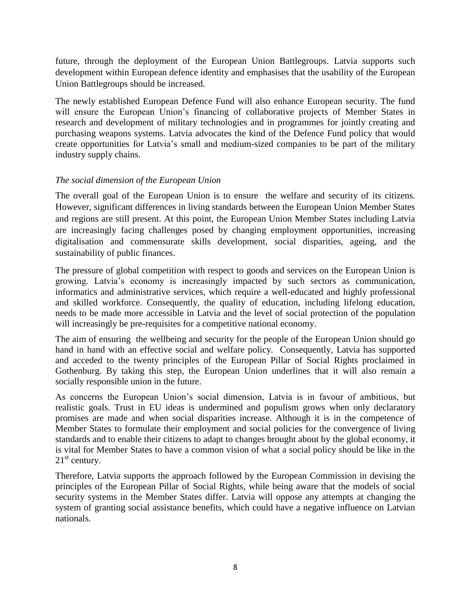future, through the deployment of the European Union Battlegroups. Latvia supports such development within European defence identity and emphasises that the usability of the European Union Battlegroups should be increased.

The newly established European Defence Fund will also enhance European security. The fund will ensure the European Union's financing of collaborative projects of Member States in research and development of military technologies and in programmes for jointly creating and purchasing weapons systems. Latvia advocates the kind of the Defence Fund policy that would create opportunities for Latvia's small and medium-sized companies to be part of the military industry supply chains.

### *The social dimension of the European Union*

The overall goal of the European Union is to ensure the welfare and security of its citizens. However, significant differences in living standards between the European Union Member States and regions are still present. At this point, the European Union Member States including Latvia are increasingly facing challenges posed by changing employment opportunities, increasing digitalisation and commensurate skills development, social disparities, ageing, and the sustainability of public finances.

The pressure of global competition with respect to goods and services on the European Union is growing. Latvia's economy is increasingly impacted by such sectors as communication, informatics and administrative services, which require a well-educated and highly professional and skilled workforce. Consequently, the quality of education, including lifelong education, needs to be made more accessible in Latvia and the level of social protection of the population will increasingly be pre-requisites for a competitive national economy.

The aim of ensuring the wellbeing and security for the people of the European Union should go hand in hand with an effective social and welfare policy. Consequently, Latvia has supported and acceded to the twenty principles of the European Pillar of Social Rights proclaimed in Gothenburg. By taking this step, the European Union underlines that it will also remain a socially responsible union in the future.

As concerns the European Union's social dimension, Latvia is in favour of ambitious, but realistic goals. Trust in EU ideas is undermined and populism grows when only declaratory promises are made and when social disparities increase. Although it is in the competence of Member States to formulate their employment and social policies for the convergence of living standards and to enable their citizens to adapt to changes brought about by the global economy, it is vital for Member States to have a common vision of what a social policy should be like in the  $21<sup>st</sup>$  century.

Therefore, Latvia supports the approach followed by the European Commission in devising the principles of the European Pillar of Social Rights, while being aware that the models of social security systems in the Member States differ. Latvia will oppose any attempts at changing the system of granting social assistance benefits, which could have a negative influence on Latvian nationals.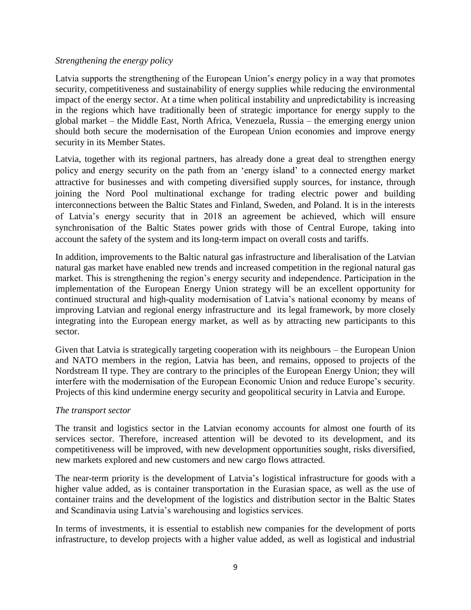#### *Strengthening the energy policy*

Latvia supports the strengthening of the European Union's energy policy in a way that promotes security, competitiveness and sustainability of energy supplies while reducing the environmental impact of the energy sector. At a time when political instability and unpredictability is increasing in the regions which have traditionally been of strategic importance for energy supply to the global market – the Middle East, North Africa, Venezuela, Russia – the emerging energy union should both secure the modernisation of the European Union economies and improve energy security in its Member States.

Latvia, together with its regional partners, has already done a great deal to strengthen energy policy and energy security on the path from an 'energy island' to a connected energy market attractive for businesses and with competing diversified supply sources, for instance, through joining the Nord Pool multinational exchange for trading electric power and building interconnections between the Baltic States and Finland, Sweden, and Poland. It is in the interests of Latvia's energy security that in 2018 an agreement be achieved, which will ensure synchronisation of the Baltic States power grids with those of Central Europe, taking into account the safety of the system and its long-term impact on overall costs and tariffs.

In addition, improvements to the Baltic natural gas infrastructure and liberalisation of the Latvian natural gas market have enabled new trends and increased competition in the regional natural gas market. This is strengthening the region's energy security and independence. Participation in the implementation of the European Energy Union strategy will be an excellent opportunity for continued structural and high-quality modernisation of Latvia's national economy by means of improving Latvian and regional energy infrastructure and its legal framework, by more closely integrating into the European energy market, as well as by attracting new participants to this sector.

Given that Latvia is strategically targeting cooperation with its neighbours – the European Union and NATO members in the region, Latvia has been, and remains, opposed to projects of the Nordstream II type. They are contrary to the principles of the European Energy Union; they will interfere with the modernisation of the European Economic Union and reduce Europe's security. Projects of this kind undermine energy security and geopolitical security in Latvia and Europe.

#### *The transport sector*

The transit and logistics sector in the Latvian economy accounts for almost one fourth of its services sector. Therefore, increased attention will be devoted to its development, and its competitiveness will be improved, with new development opportunities sought, risks diversified, new markets explored and new customers and new cargo flows attracted.

The near-term priority is the development of Latvia's logistical infrastructure for goods with a higher value added, as is container transportation in the Eurasian space, as well as the use of container trains and the development of the logistics and distribution sector in the Baltic States and Scandinavia using Latvia's warehousing and logistics services.

In terms of investments, it is essential to establish new companies for the development of ports infrastructure, to develop projects with a higher value added, as well as logistical and industrial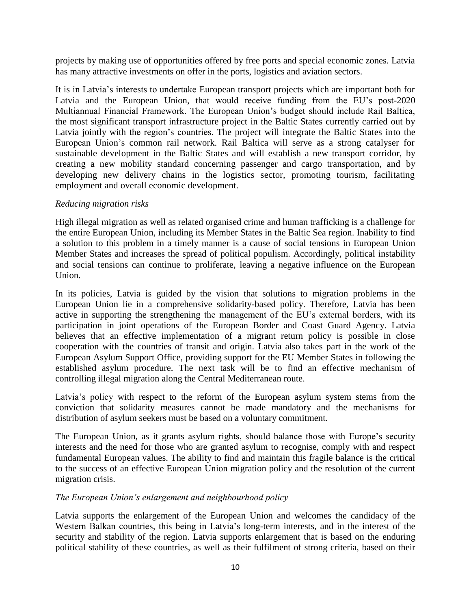projects by making use of opportunities offered by free ports and special economic zones. Latvia has many attractive investments on offer in the ports, logistics and aviation sectors.

It is in Latvia's interests to undertake European transport projects which are important both for Latvia and the European Union, that would receive funding from the EU's post-2020 Multiannual Financial Framework. The European Union's budget should include Rail Baltica, the most significant transport infrastructure project in the Baltic States currently carried out by Latvia jointly with the region's countries. The project will integrate the Baltic States into the European Union's common rail network. Rail Baltica will serve as a strong catalyser for sustainable development in the Baltic States and will establish a new transport corridor, by creating a new mobility standard concerning passenger and cargo transportation, and by developing new delivery chains in the logistics sector, promoting tourism, facilitating employment and overall economic development.

#### *Reducing migration risks*

High illegal migration as well as related organised crime and human trafficking is a challenge for the entire European Union, including its Member States in the Baltic Sea region. Inability to find a solution to this problem in a timely manner is a cause of social tensions in European Union Member States and increases the spread of political populism. Accordingly, political instability and social tensions can continue to proliferate, leaving a negative influence on the European Union.

In its policies, Latvia is guided by the vision that solutions to migration problems in the European Union lie in a comprehensive solidarity-based policy. Therefore, Latvia has been active in supporting the strengthening the management of the EU's external borders, with its participation in joint operations of the European Border and Coast Guard Agency. Latvia believes that an effective implementation of a migrant return policy is possible in close cooperation with the countries of transit and origin. Latvia also takes part in the work of the European Asylum Support Office, providing support for the EU Member States in following the established asylum procedure. The next task will be to find an effective mechanism of controlling illegal migration along the Central Mediterranean route.

Latvia's policy with respect to the reform of the European asylum system stems from the conviction that solidarity measures cannot be made mandatory and the mechanisms for distribution of asylum seekers must be based on a voluntary commitment.

The European Union, as it grants asylum rights, should balance those with Europe's security interests and the need for those who are granted asylum to recognise, comply with and respect fundamental European values. The ability to find and maintain this fragile balance is the critical to the success of an effective European Union migration policy and the resolution of the current migration crisis.

### *The European Union's enlargement and neighbourhood policy*

Latvia supports the enlargement of the European Union and welcomes the candidacy of the Western Balkan countries, this being in Latvia's long-term interests, and in the interest of the security and stability of the region. Latvia supports enlargement that is based on the enduring political stability of these countries, as well as their fulfilment of strong criteria, based on their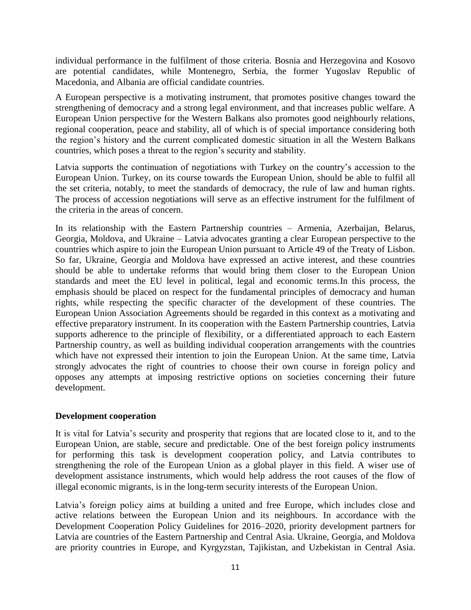individual performance in the fulfilment of those criteria. Bosnia and Herzegovina and Kosovo are potential candidates, while Montenegro, Serbia, the former Yugoslav Republic of Macedonia, and Albania are official candidate countries.

A European perspective is a motivating instrument, that promotes positive changes toward the strengthening of democracy and a strong legal environment, and that increases public welfare. A European Union perspective for the Western Balkans also promotes good neighbourly relations, regional cooperation, peace and stability, all of which is of special importance considering both the region's history and the current complicated domestic situation in all the Western Balkans countries, which poses a threat to the region's security and stability.

Latvia supports the continuation of negotiations with Turkey on the country's accession to the European Union. Turkey, on its course towards the European Union, should be able to fulfil all the set criteria, notably, to meet the standards of democracy, the rule of law and human rights. The process of accession negotiations will serve as an effective instrument for the fulfilment of the criteria in the areas of concern.

In its relationship with the Eastern Partnership countries – Armenia, Azerbaijan, Belarus, Georgia, Moldova, and Ukraine – Latvia advocates granting a clear European perspective to the countries which aspire to join the European Union pursuant to Article 49 of the Treaty of Lisbon. So far, Ukraine, Georgia and Moldova have expressed an active interest, and these countries should be able to undertake reforms that would bring them closer to the European Union standards and meet the EU level in political, legal and economic terms.In this process, the emphasis should be placed on respect for the fundamental principles of democracy and human rights, while respecting the specific character of the development of these countries. The European Union Association Agreements should be regarded in this context as a motivating and effective preparatory instrument. In its cooperation with the Eastern Partnership countries, Latvia supports adherence to the principle of flexibility, or a differentiated approach to each Eastern Partnership country, as well as building individual cooperation arrangements with the countries which have not expressed their intention to join the European Union. At the same time, Latvia strongly advocates the right of countries to choose their own course in foreign policy and opposes any attempts at imposing restrictive options on societies concerning their future development.

### **Development cooperation**

It is vital for Latvia's security and prosperity that regions that are located close to it, and to the European Union, are stable, secure and predictable. One of the best foreign policy instruments for performing this task is development cooperation policy, and Latvia contributes to strengthening the role of the European Union as a global player in this field. A wiser use of development assistance instruments, which would help address the root causes of the flow of illegal economic migrants, is in the long-term security interests of the European Union.

Latvia's foreign policy aims at building a united and free Europe, which includes close and active relations between the European Union and its neighbours. In accordance with the Development Cooperation Policy Guidelines for 2016–2020, priority development partners for Latvia are countries of the Eastern Partnership and Central Asia. Ukraine, Georgia, and Moldova are priority countries in Europe, and Kyrgyzstan, Tajikistan, and Uzbekistan in Central Asia.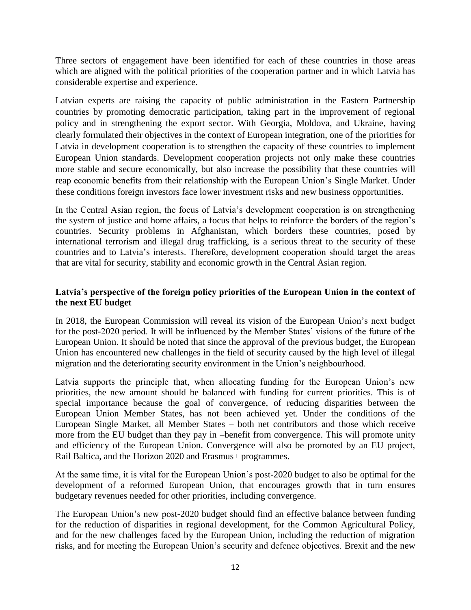Three sectors of engagement have been identified for each of these countries in those areas which are aligned with the political priorities of the cooperation partner and in which Latvia has considerable expertise and experience.

Latvian experts are raising the capacity of public administration in the Eastern Partnership countries by promoting democratic participation, taking part in the improvement of regional policy and in strengthening the export sector. With Georgia, Moldova, and Ukraine, having clearly formulated their objectives in the context of European integration, one of the priorities for Latvia in development cooperation is to strengthen the capacity of these countries to implement European Union standards. Development cooperation projects not only make these countries more stable and secure economically, but also increase the possibility that these countries will reap economic benefits from their relationship with the European Union's Single Market. Under these conditions foreign investors face lower investment risks and new business opportunities.

In the Central Asian region, the focus of Latvia's development cooperation is on strengthening the system of justice and home affairs, a focus that helps to reinforce the borders of the region's countries. Security problems in Afghanistan, which borders these countries, posed by international terrorism and illegal drug trafficking, is a serious threat to the security of these countries and to Latvia's interests. Therefore, development cooperation should target the areas that are vital for security, stability and economic growth in the Central Asian region.

### **Latvia's perspective of the foreign policy priorities of the European Union in the context of the next EU budget**

In 2018, the European Commission will reveal its vision of the European Union's next budget for the post-2020 period. It will be influenced by the Member States' visions of the future of the European Union. It should be noted that since the approval of the previous budget, the European Union has encountered new challenges in the field of security caused by the high level of illegal migration and the deteriorating security environment in the Union's neighbourhood.

Latvia supports the principle that, when allocating funding for the European Union's new priorities, the new amount should be balanced with funding for current priorities. This is of special importance because the goal of convergence, of reducing disparities between the European Union Member States, has not been achieved yet. Under the conditions of the European Single Market, all Member States – both net contributors and those which receive more from the EU budget than they pay in –benefit from convergence. This will promote unity and efficiency of the European Union. Convergence will also be promoted by an EU project, Rail Baltica, and the Horizon 2020 and Erasmus+ programmes.

At the same time, it is vital for the European Union's post-2020 budget to also be optimal for the development of a reformed European Union, that encourages growth that in turn ensures budgetary revenues needed for other priorities, including convergence.

The European Union's new post-2020 budget should find an effective balance between funding for the reduction of disparities in regional development, for the Common Agricultural Policy, and for the new challenges faced by the European Union, including the reduction of migration risks, and for meeting the European Union's security and defence objectives. Brexit and the new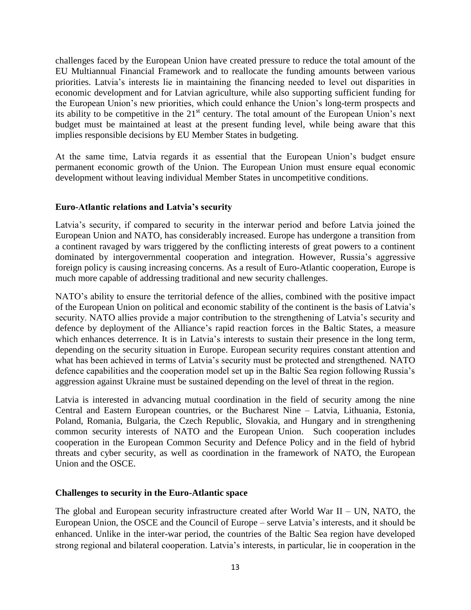challenges faced by the European Union have created pressure to reduce the total amount of the EU Multiannual Financial Framework and to reallocate the funding amounts between various priorities. Latvia's interests lie in maintaining the financing needed to level out disparities in economic development and for Latvian agriculture, while also supporting sufficient funding for the European Union's new priorities, which could enhance the Union's long-term prospects and its ability to be competitive in the 21<sup>st</sup> century. The total amount of the European Union's next budget must be maintained at least at the present funding level, while being aware that this implies responsible decisions by EU Member States in budgeting.

At the same time, Latvia regards it as essential that the European Union's budget ensure permanent economic growth of the Union. The European Union must ensure equal economic development without leaving individual Member States in uncompetitive conditions.

### **Euro-Atlantic relations and Latvia's security**

Latvia's security, if compared to security in the interwar period and before Latvia joined the European Union and NATO, has considerably increased. Europe has undergone a transition from a continent ravaged by wars triggered by the conflicting interests of great powers to a continent dominated by intergovernmental cooperation and integration. However, Russia's aggressive foreign policy is causing increasing concerns. As a result of Euro-Atlantic cooperation, Europe is much more capable of addressing traditional and new security challenges.

NATO's ability to ensure the territorial defence of the allies, combined with the positive impact of the European Union on political and economic stability of the continent is the basis of Latvia's security. NATO allies provide a major contribution to the strengthening of Latvia's security and defence by deployment of the Alliance's rapid reaction forces in the Baltic States, a measure which enhances deterrence. It is in Latvia's interests to sustain their presence in the long term, depending on the security situation in Europe. European security requires constant attention and what has been achieved in terms of Latvia's security must be protected and strengthened. NATO defence capabilities and the cooperation model set up in the Baltic Sea region following Russia's aggression against Ukraine must be sustained depending on the level of threat in the region.

Latvia is interested in advancing mutual coordination in the field of security among the nine Central and Eastern European countries, or the Bucharest Nine – Latvia, Lithuania, Estonia, Poland, Romania, Bulgaria, the Czech Republic, Slovakia, and Hungary and in strengthening common security interests of NATO and the European Union. Such cooperation includes cooperation in the European Common Security and Defence Policy and in the field of hybrid threats and cyber security, as well as coordination in the framework of NATO, the European Union and the OSCE.

#### **Challenges to security in the Euro-Atlantic space**

The global and European security infrastructure created after World War II – UN, NATO, the European Union, the OSCE and the Council of Europe – serve Latvia's interests, and it should be enhanced. Unlike in the inter-war period, the countries of the Baltic Sea region have developed strong regional and bilateral cooperation. Latvia's interests, in particular, lie in cooperation in the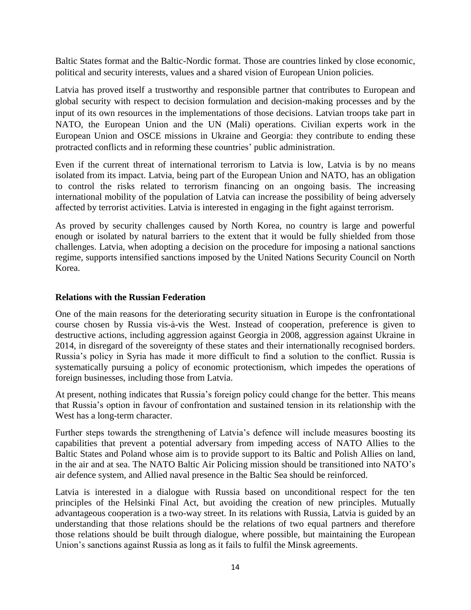Baltic States format and the Baltic-Nordic format. Those are countries linked by close economic, political and security interests, values and a shared vision of European Union policies.

Latvia has proved itself a trustworthy and responsible partner that contributes to European and global security with respect to decision formulation and decision-making processes and by the input of its own resources in the implementations of those decisions. Latvian troops take part in NATO, the European Union and the UN (Mali) operations. Civilian experts work in the European Union and OSCE missions in Ukraine and Georgia: they contribute to ending these protracted conflicts and in reforming these countries' public administration.

Even if the current threat of international terrorism to Latvia is low, Latvia is by no means isolated from its impact. Latvia, being part of the European Union and NATO, has an obligation to control the risks related to terrorism financing on an ongoing basis. The increasing international mobility of the population of Latvia can increase the possibility of being adversely affected by terrorist activities. Latvia is interested in engaging in the fight against terrorism.

As proved by security challenges caused by North Korea, no country is large and powerful enough or isolated by natural barriers to the extent that it would be fully shielded from those challenges. Latvia, when adopting a decision on the procedure for imposing a national sanctions regime, supports intensified sanctions imposed by the United Nations Security Council on North Korea.

### **Relations with the Russian Federation**

One of the main reasons for the deteriorating security situation in Europe is the confrontational course chosen by Russia vis-à-vis the West. Instead of cooperation, preference is given to destructive actions, including aggression against Georgia in 2008, aggression against Ukraine in 2014, in disregard of the sovereignty of these states and their internationally recognised borders. Russia's policy in Syria has made it more difficult to find a solution to the conflict. Russia is systematically pursuing a policy of economic protectionism, which impedes the operations of foreign businesses, including those from Latvia.

At present, nothing indicates that Russia's foreign policy could change for the better. This means that Russia's option in favour of confrontation and sustained tension in its relationship with the West has a long-term character.

Further steps towards the strengthening of Latvia's defence will include measures boosting its capabilities that prevent a potential adversary from impeding access of NATO Allies to the Baltic States and Poland whose aim is to provide support to its Baltic and Polish Allies on land, in the air and at sea. The NATO Baltic Air Policing mission should be transitioned into NATO's air defence system, and Allied naval presence in the Baltic Sea should be reinforced.

Latvia is interested in a dialogue with Russia based on unconditional respect for the ten principles of the Helsinki Final Act, but avoiding the creation of new principles. Mutually advantageous cooperation is a two-way street. In its relations with Russia, Latvia is guided by an understanding that those relations should be the relations of two equal partners and therefore those relations should be built through dialogue, where possible, but maintaining the European Union's sanctions against Russia as long as it fails to fulfil the Minsk agreements.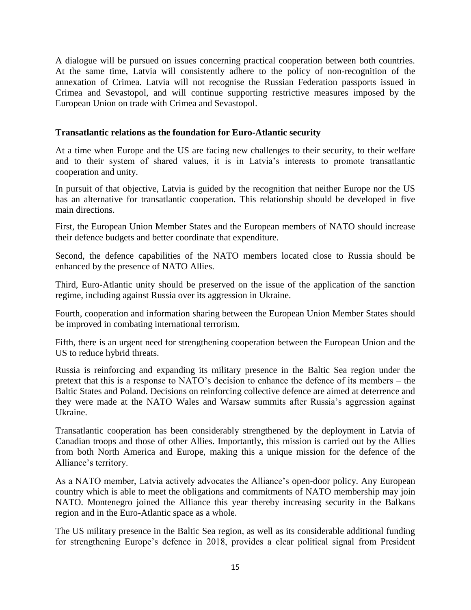A dialogue will be pursued on issues concerning practical cooperation between both countries. At the same time, Latvia will consistently adhere to the policy of non-recognition of the annexation of Crimea. Latvia will not recognise the Russian Federation passports issued in Crimea and Sevastopol, and will continue supporting restrictive measures imposed by the European Union on trade with Crimea and Sevastopol.

### **Transatlantic relations as the foundation for Euro-Atlantic security**

At a time when Europe and the US are facing new challenges to their security, to their welfare and to their system of shared values, it is in Latvia's interests to promote transatlantic cooperation and unity.

In pursuit of that objective, Latvia is guided by the recognition that neither Europe nor the US has an alternative for transatlantic cooperation. This relationship should be developed in five main directions.

First, the European Union Member States and the European members of NATO should increase their defence budgets and better coordinate that expenditure.

Second, the defence capabilities of the NATO members located close to Russia should be enhanced by the presence of NATO Allies.

Third, Euro-Atlantic unity should be preserved on the issue of the application of the sanction regime, including against Russia over its aggression in Ukraine.

Fourth, cooperation and information sharing between the European Union Member States should be improved in combating international terrorism.

Fifth, there is an urgent need for strengthening cooperation between the European Union and the US to reduce hybrid threats.

Russia is reinforcing and expanding its military presence in the Baltic Sea region under the pretext that this is a response to NATO's decision to enhance the defence of its members – the Baltic States and Poland. Decisions on reinforcing collective defence are aimed at deterrence and they were made at the NATO Wales and Warsaw summits after Russia's aggression against Ukraine.

Transatlantic cooperation has been considerably strengthened by the deployment in Latvia of Canadian troops and those of other Allies. Importantly, this mission is carried out by the Allies from both North America and Europe, making this a unique mission for the defence of the Alliance's territory.

As a NATO member, Latvia actively advocates the Alliance's open-door policy. Any European country which is able to meet the obligations and commitments of NATO membership may join NATO. Montenegro joined the Alliance this year thereby increasing security in the Balkans region and in the Euro-Atlantic space as a whole.

The US military presence in the Baltic Sea region, as well as its considerable additional funding for strengthening Europe's defence in 2018, provides a clear political signal from President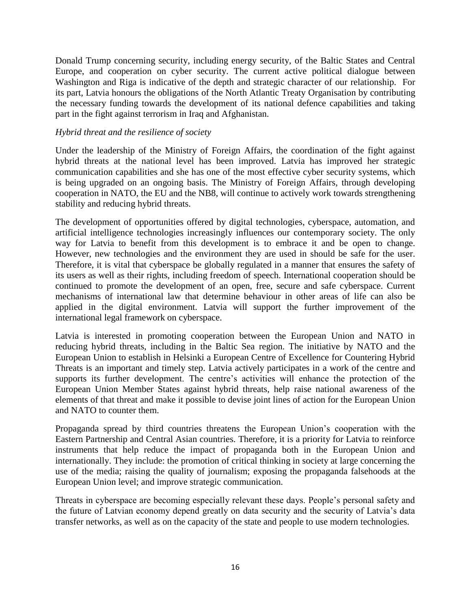Donald Trump concerning security, including energy security, of the Baltic States and Central Europe, and cooperation on cyber security. The current active political dialogue between Washington and Riga is indicative of the depth and strategic character of our relationship. For its part, Latvia honours the obligations of the North Atlantic Treaty Organisation by contributing the necessary funding towards the development of its national defence capabilities and taking part in the fight against terrorism in Iraq and Afghanistan.

#### *Hybrid threat and the resilience of society*

Under the leadership of the Ministry of Foreign Affairs, the coordination of the fight against hybrid threats at the national level has been improved. Latvia has improved her strategic communication capabilities and she has one of the most effective cyber security systems, which is being upgraded on an ongoing basis. The Ministry of Foreign Affairs, through developing cooperation in NATO, the EU and the NB8, will continue to actively work towards strengthening stability and reducing hybrid threats.

The development of opportunities offered by digital technologies, cyberspace, automation, and artificial intelligence technologies increasingly influences our contemporary society. The only way for Latvia to benefit from this development is to embrace it and be open to change. However, new technologies and the environment they are used in should be safe for the user. Therefore, it is vital that cyberspace be globally regulated in a manner that ensures the safety of its users as well as their rights, including freedom of speech. International cooperation should be continued to promote the development of an open, free, secure and safe cyberspace. Current mechanisms of international law that determine behaviour in other areas of life can also be applied in the digital environment. Latvia will support the further improvement of the international legal framework on cyberspace.

Latvia is interested in promoting cooperation between the European Union and NATO in reducing hybrid threats, including in the Baltic Sea region. The initiative by NATO and the European Union to establish in Helsinki a European Centre of Excellence for Countering Hybrid Threats is an important and timely step. Latvia actively participates in a work of the centre and supports its further development. The centre's activities will enhance the protection of the European Union Member States against hybrid threats, help raise national awareness of the elements of that threat and make it possible to devise joint lines of action for the European Union and NATO to counter them.

Propaganda spread by third countries threatens the European Union's cooperation with the Eastern Partnership and Central Asian countries. Therefore, it is a priority for Latvia to reinforce instruments that help reduce the impact of propaganda both in the European Union and internationally. They include: the promotion of critical thinking in society at large concerning the use of the media; raising the quality of journalism; exposing the propaganda falsehoods at the European Union level; and improve strategic communication.

Threats in cyberspace are becoming especially relevant these days. People's personal safety and the future of Latvian economy depend greatly on data security and the security of Latvia's data transfer networks, as well as on the capacity of the state and people to use modern technologies.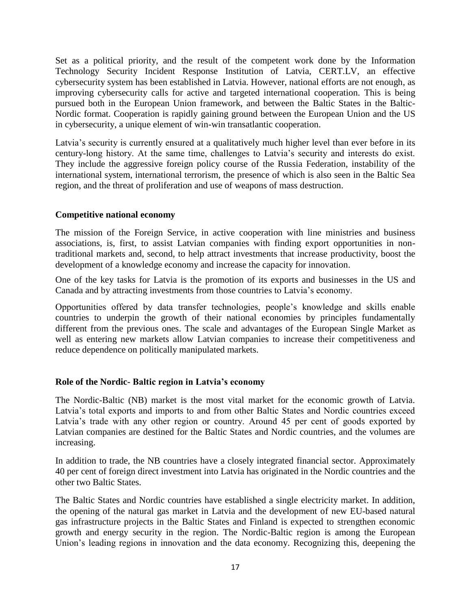Set as a political priority, and the result of the competent work done by the Information Technology Security Incident Response Institution of Latvia, CERT.LV, an effective cybersecurity system has been established in Latvia. However, national efforts are not enough, as improving cybersecurity calls for active and targeted international cooperation. This is being pursued both in the European Union framework, and between the Baltic States in the Baltic-Nordic format. Cooperation is rapidly gaining ground between the European Union and the US in cybersecurity, a unique element of win-win transatlantic cooperation.

Latvia's security is currently ensured at a qualitatively much higher level than ever before in its century-long history. At the same time, challenges to Latvia's security and interests do exist. They include the aggressive foreign policy course of the Russia Federation, instability of the international system, international terrorism, the presence of which is also seen in the Baltic Sea region, and the threat of proliferation and use of weapons of mass destruction.

### **Competitive national economy**

The mission of the Foreign Service, in active cooperation with line ministries and business associations, is, first, to assist Latvian companies with finding export opportunities in nontraditional markets and, second, to help attract investments that increase productivity, boost the development of a knowledge economy and increase the capacity for innovation.

One of the key tasks for Latvia is the promotion of its exports and businesses in the US and Canada and by attracting investments from those countries to Latvia's economy.

Opportunities offered by data transfer technologies, people's knowledge and skills enable countries to underpin the growth of their national economies by principles fundamentally different from the previous ones. The scale and advantages of the European Single Market as well as entering new markets allow Latvian companies to increase their competitiveness and reduce dependence on politically manipulated markets.

### **Role of the Nordic- Baltic region in Latvia's economy**

The Nordic-Baltic (NB) market is the most vital market for the economic growth of Latvia. Latvia's total exports and imports to and from other Baltic States and Nordic countries exceed Latvia's trade with any other region or country. Around 45 per cent of goods exported by Latvian companies are destined for the Baltic States and Nordic countries, and the volumes are increasing.

In addition to trade, the NB countries have a closely integrated financial sector. Approximately 40 per cent of foreign direct investment into Latvia has originated in the Nordic countries and the other two Baltic States.

The Baltic States and Nordic countries have established a single electricity market. In addition, the opening of the natural gas market in Latvia and the development of new EU-based natural gas infrastructure projects in the Baltic States and Finland is expected to strengthen economic growth and energy security in the region. The Nordic-Baltic region is among the European Union's leading regions in innovation and the data economy. Recognizing this, deepening the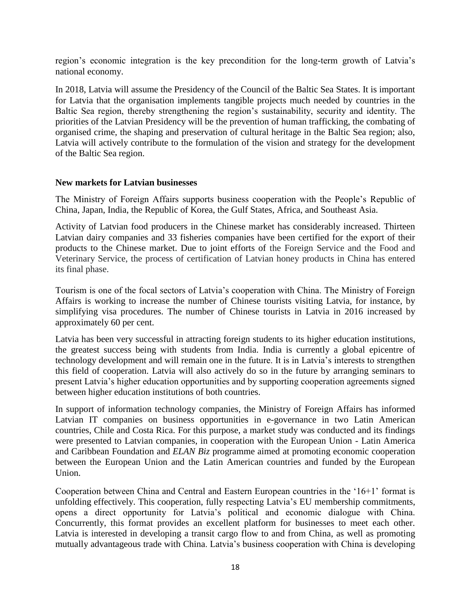region's economic integration is the key precondition for the long-term growth of Latvia's national economy.

In 2018, Latvia will assume the Presidency of the Council of the Baltic Sea States. It is important for Latvia that the organisation implements tangible projects much needed by countries in the Baltic Sea region, thereby strengthening the region's sustainability, security and identity. The priorities of the Latvian Presidency will be the prevention of human trafficking, the combating of organised crime, the shaping and preservation of cultural heritage in the Baltic Sea region; also, Latvia will actively contribute to the formulation of the vision and strategy for the development of the Baltic Sea region.

#### **New markets for Latvian businesses**

The Ministry of Foreign Affairs supports business cooperation with the People's Republic of China, Japan, India, the Republic of Korea, the Gulf States, Africa, and Southeast Asia.

Activity of Latvian food producers in the Chinese market has considerably increased. Thirteen Latvian dairy companies and 33 fisheries companies have been certified for the export of their products to the Chinese market. Due to joint efforts of the Foreign Service and the Food and Veterinary Service, the process of certification of Latvian honey products in China has entered its final phase.

Tourism is one of the focal sectors of Latvia's cooperation with China. The Ministry of Foreign Affairs is working to increase the number of Chinese tourists visiting Latvia, for instance, by simplifying visa procedures. The number of Chinese tourists in Latvia in 2016 increased by approximately 60 per cent.

Latvia has been very successful in attracting foreign students to its higher education institutions, the greatest success being with students from India. India is currently a global epicentre of technology development and will remain one in the future. It is in Latvia's interests to strengthen this field of cooperation. Latvia will also actively do so in the future by arranging seminars to present Latvia's higher education opportunities and by supporting cooperation agreements signed between higher education institutions of both countries.

In support of information technology companies, the Ministry of Foreign Affairs has informed Latvian IT companies on business opportunities in e-governance in two Latin American countries, Chile and Costa Rica. For this purpose, a market study was conducted and its findings were presented to Latvian companies, in cooperation with the European Union - Latin America and Caribbean Foundation and *ELAN Biz* programme aimed at promoting economic cooperation between the European Union and the Latin American countries and funded by the European Union.

Cooperation between China and Central and Eastern European countries in the '16+1' format is unfolding effectively. This cooperation, fully respecting Latvia's EU membership commitments, opens a direct opportunity for Latvia's political and economic dialogue with China. Concurrently, this format provides an excellent platform for businesses to meet each other. Latvia is interested in developing a transit cargo flow to and from China, as well as promoting mutually advantageous trade with China. Latvia's business cooperation with China is developing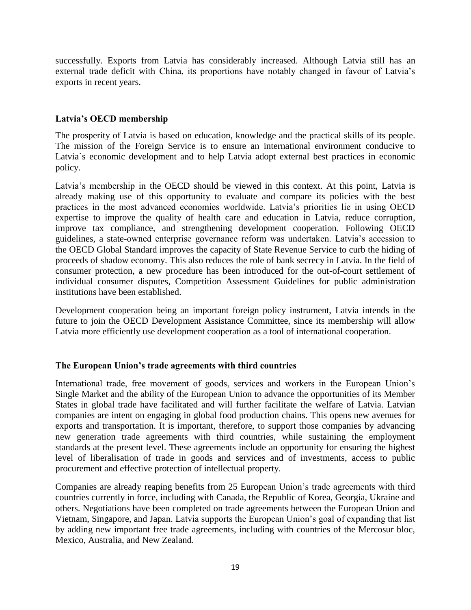successfully. Exports from Latvia has considerably increased. Although Latvia still has an external trade deficit with China, its proportions have notably changed in favour of Latvia's exports in recent years.

### **Latvia's OECD membership**

The prosperity of Latvia is based on education, knowledge and the practical skills of its people. The mission of the Foreign Service is to ensure an international environment conducive to Latvia`s economic development and to help Latvia adopt external best practices in economic policy.

Latvia's membership in the OECD should be viewed in this context. At this point, Latvia is already making use of this opportunity to evaluate and compare its policies with the best practices in the most advanced economies worldwide. Latvia's priorities lie in using OECD expertise to improve the quality of health care and education in Latvia, reduce corruption, improve tax compliance, and strengthening development cooperation. Following OECD guidelines, a state-owned enterprise governance reform was undertaken. Latvia's accession to the OECD Global Standard improves the capacity of State Revenue Service to curb the hiding of proceeds of shadow economy. This also reduces the role of bank secrecy in Latvia. In the field of consumer protection, a new procedure has been introduced for the out-of-court settlement of individual consumer disputes, Competition Assessment Guidelines for public administration institutions have been established.

Development cooperation being an important foreign policy instrument, Latvia intends in the future to join the OECD Development Assistance Committee, since its membership will allow Latvia more efficiently use development cooperation as a tool of international cooperation.

### **The European Union's trade agreements with third countries**

International trade, free movement of goods, services and workers in the European Union's Single Market and the ability of the European Union to advance the opportunities of its Member States in global trade have facilitated and will further facilitate the welfare of Latvia. Latvian companies are intent on engaging in global food production chains. This opens new avenues for exports and transportation. It is important, therefore, to support those companies by advancing new generation trade agreements with third countries, while sustaining the employment standards at the present level. These agreements include an opportunity for ensuring the highest level of liberalisation of trade in goods and services and of investments, access to public procurement and effective protection of intellectual property.

Companies are already reaping benefits from 25 European Union's trade agreements with third countries currently in force, including with Canada, the Republic of Korea, Georgia, Ukraine and others. Negotiations have been completed on trade agreements between the European Union and Vietnam, Singapore, and Japan. Latvia supports the European Union's goal of expanding that list by adding new important free trade agreements, including with countries of the Mercosur bloc, Mexico, Australia, and New Zealand.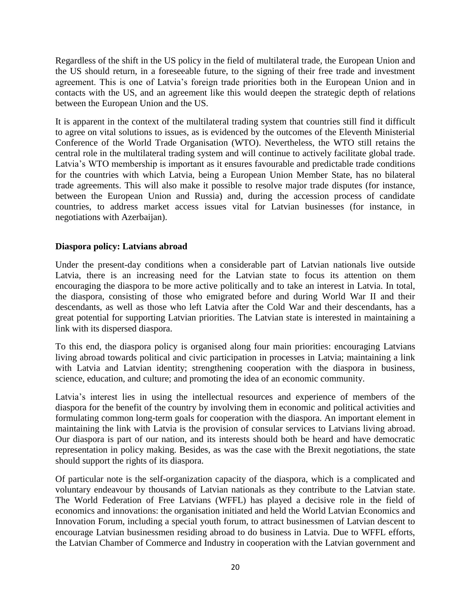Regardless of the shift in the US policy in the field of multilateral trade, the European Union and the US should return, in a foreseeable future, to the signing of their free trade and investment agreement. This is one of Latvia's foreign trade priorities both in the European Union and in contacts with the US, and an agreement like this would deepen the strategic depth of relations between the European Union and the US.

It is apparent in the context of the multilateral trading system that countries still find it difficult to agree on vital solutions to issues, as is evidenced by the outcomes of the Eleventh Ministerial Conference of the World Trade Organisation (WTO). Nevertheless, the WTO still retains the central role in the multilateral trading system and will continue to actively facilitate global trade. Latvia's WTO membership is important as it ensures favourable and predictable trade conditions for the countries with which Latvia, being a European Union Member State, has no bilateral trade agreements. This will also make it possible to resolve major trade disputes (for instance, between the European Union and Russia) and, during the accession process of candidate countries, to address market access issues vital for Latvian businesses (for instance, in negotiations with Azerbaijan).

### **Diaspora policy: Latvians abroad**

Under the present-day conditions when a considerable part of Latvian nationals live outside Latvia, there is an increasing need for the Latvian state to focus its attention on them encouraging the diaspora to be more active politically and to take an interest in Latvia. In total, the diaspora, consisting of those who emigrated before and during World War II and their descendants, as well as those who left Latvia after the Cold War and their descendants, has a great potential for supporting Latvian priorities. The Latvian state is interested in maintaining a link with its dispersed diaspora.

To this end, the diaspora policy is organised along four main priorities: encouraging Latvians living abroad towards political and civic participation in processes in Latvia; maintaining a link with Latvia and Latvian identity; strengthening cooperation with the diaspora in business, science, education, and culture; and promoting the idea of an economic community.

Latvia's interest lies in using the intellectual resources and experience of members of the diaspora for the benefit of the country by involving them in economic and political activities and formulating common long-term goals for cooperation with the diaspora. An important element in maintaining the link with Latvia is the provision of consular services to Latvians living abroad. Our diaspora is part of our nation, and its interests should both be heard and have democratic representation in policy making. Besides, as was the case with the Brexit negotiations, the state should support the rights of its diaspora.

Of particular note is the self-organization capacity of the diaspora, which is a complicated and voluntary endeavour by thousands of Latvian nationals as they contribute to the Latvian state. The World Federation of Free Latvians (WFFL) has played a decisive role in the field of economics and innovations: the organisation initiated and held the World Latvian Economics and Innovation Forum, including a special youth forum, to attract businessmen of Latvian descent to encourage Latvian businessmen residing abroad to do business in Latvia. Due to WFFL efforts, the Latvian Chamber of Commerce and Industry in cooperation with the Latvian government and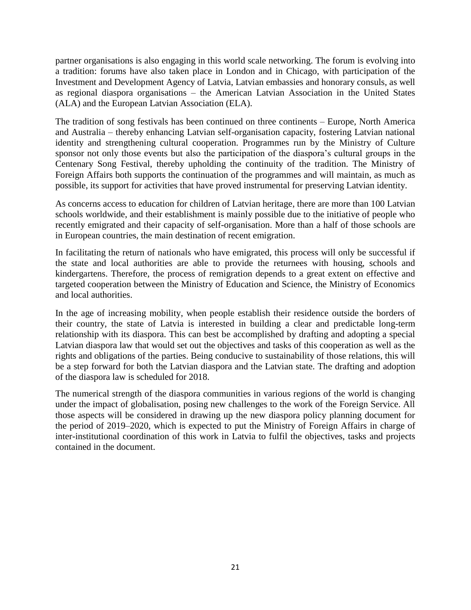partner organisations is also engaging in this world scale networking. The forum is evolving into a tradition: forums have also taken place in London and in Chicago, with participation of the Investment and Development Agency of Latvia, Latvian embassies and honorary consuls, as well as regional diaspora organisations – the American Latvian Association in the United States (ALA) and the European Latvian Association (ELA).

The tradition of song festivals has been continued on three continents – Europe, North America and Australia – thereby enhancing Latvian self-organisation capacity, fostering Latvian national identity and strengthening cultural cooperation. Programmes run by the Ministry of Culture sponsor not only those events but also the participation of the diaspora's cultural groups in the Centenary Song Festival, thereby upholding the continuity of the tradition. The Ministry of Foreign Affairs both supports the continuation of the programmes and will maintain, as much as possible, its support for activities that have proved instrumental for preserving Latvian identity.

As concerns access to education for children of Latvian heritage, there are more than 100 Latvian schools worldwide, and their establishment is mainly possible due to the initiative of people who recently emigrated and their capacity of self-organisation. More than a half of those schools are in European countries, the main destination of recent emigration.

In facilitating the return of nationals who have emigrated, this process will only be successful if the state and local authorities are able to provide the returnees with housing, schools and kindergartens. Therefore, the process of remigration depends to a great extent on effective and targeted cooperation between the Ministry of Education and Science, the Ministry of Economics and local authorities.

In the age of increasing mobility, when people establish their residence outside the borders of their country, the state of Latvia is interested in building a clear and predictable long-term relationship with its diaspora. This can best be accomplished by drafting and adopting a special Latvian diaspora law that would set out the objectives and tasks of this cooperation as well as the rights and obligations of the parties. Being conducive to sustainability of those relations, this will be a step forward for both the Latvian diaspora and the Latvian state. The drafting and adoption of the diaspora law is scheduled for 2018.

The numerical strength of the diaspora communities in various regions of the world is changing under the impact of globalisation, posing new challenges to the work of the Foreign Service. All those aspects will be considered in drawing up the new diaspora policy planning document for the period of 2019–2020, which is expected to put the Ministry of Foreign Affairs in charge of inter-institutional coordination of this work in Latvia to fulfil the objectives, tasks and projects contained in the document.